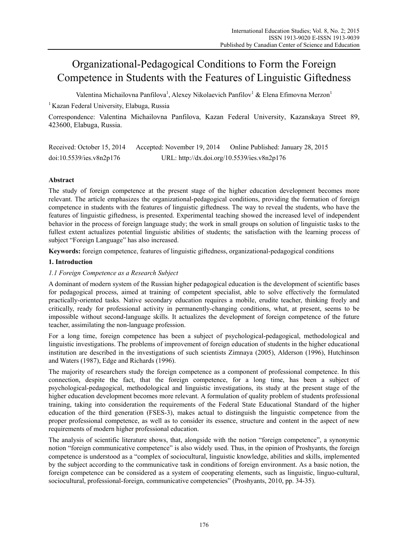# Organizational-Pedagogical Conditions to Form the Foreign Competence in Students with the Features of Linguistic Giftedness

Valentina Michailovna Panfilova<sup>1</sup>, Alexey Nikolaevich Panfilov<sup>1</sup> & Elena Efimovna Merzon<sup>1</sup>

<sup>1</sup> Kazan Federal University, Elabuga, Russia

Correspondence: Valentina Michailovna Panfilova, Kazan Federal University, Kazanskaya Street 89, 423600, Elabuga, Russia.

Received: October 15, 2014 Accepted: November 19, 2014 Online Published: January 28, 2015 doi:10.5539/ies.v8n2p176 URL: http://dx.doi.org/10.5539/ies.v8n2p176

# **Abstract**

The study of foreign competence at the present stage of the higher education development becomes more relevant. The article emphasizes the organizational-pedagogical conditions, providing the formation of foreign competence in students with the features of linguistic giftedness. The way to reveal the students, who have the features of linguistic giftedness, is presented. Experimental teaching showed the increased level of independent behavior in the process of foreign language study; the work in small groups on solution of linguistic tasks to the fullest extent actualizes potential linguistic abilities of students; the satisfaction with the learning process of subject "Foreign Language" has also increased.

**Keywords:** foreign competence, features of linguistic giftedness, organizational-pedagogical conditions

## **1. Introduction**

## *1.1 Foreign Competence as a Research Subject*

A dominant of modern system of the Russian higher pedagogical education is the development of scientific bases for pedagogical process, aimed at training of competent specialist, able to solve effectively the formulated practically-oriented tasks. Native secondary education requires a mobile, erudite teacher, thinking freely and critically, ready for professional activity in permanently-changing conditions, what, at present, seems to be impossible without second-language skills. It actualizes the development of foreign competence of the future teacher, assimilating the non-language profession.

For a long time, foreign competence has been a subject of psychological-pedagogical, methodological and linguistic investigations. The problems of improvement of foreign education of students in the higher educational institution are described in the investigations of such scientists Zimnaya (2005), Alderson (1996), Hutchinson and Waters (1987), Edge and Richards (1996).

The majority of researchers study the foreign competence as a component of professional competence. In this connection, despite the fact, that the foreign competence, for a long time, has been a subject of psychological-pedagogical, methodological and linguistic investigations, its study at the present stage of the higher education development becomes more relevant. A formulation of quality problem of students professional training, taking into consideration the requirements of the Federal State Educational Standard of the higher education of the third generation (FSES-3), makes actual to distinguish the linguistic competence from the proper professional competence, as well as to consider its essence, structure and content in the aspect of new requirements of modern higher professional education.

The analysis of scientific literature shows, that, alongside with the notion "foreign competence", a synonymic notion "foreign communicative competence" is also widely used. Thus, in the opinion of Proshyants, the foreign competence is understood as a "complex of sociocultural, linguistic knowledge, abilities and skills, implemented by the subject according to the communicative task in conditions of foreign environment. As a basic notion, the foreign competence can be considered as a system of cooperating elements, such as linguistic, linguo-cultural, sociocultural, professional-foreign, communicative competencies" (Proshyants, 2010, pp. 34-35).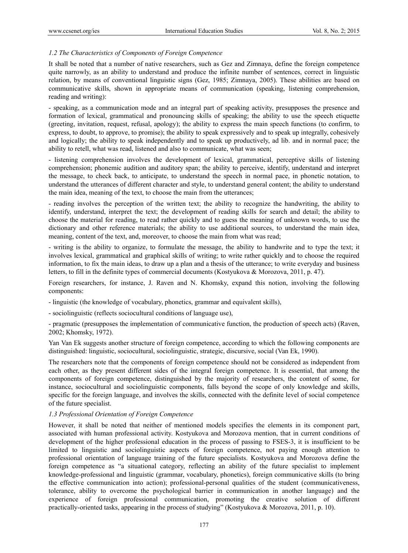## *1.2 The Characteristics of Components of Foreign Competence*

It shall be noted that a number of native researchers, such as Gez and Zimnaya, define the foreign competence quite narrowly, as an ability to understand and produce the infinite number of sentences, correct in linguistic relation, by means of conventional linguistic signs (Gez, 1985; Zimnaya, 2005). These abilities are based on communicative skills, shown in appropriate means of communication (speaking, listening comprehension, reading and writing):

- speaking, as a communication mode and an integral part of speaking activity, presupposes the presence and formation of lexical, grammatical and pronouncing skills of speaking; the ability to use the speech etiquette (greeting, invitation, request, refusal, apology); the ability to express the main speech functions (to confirm, to express, to doubt, to approve, to promise); the ability to speak expressively and to speak up integrally, cohesively and logically; the ability to speak independently and to speak up productively, ad lib. and in normal pace; the ability to retell, what was read, listened and also to communicate, what was seen;

- listening comprehension involves the development of lexical, grammatical, perceptive skills of listening comprehension; phonemic audition and auditory span; the ability to perceive, identify, understand and interpret the message, to check back, to anticipate, to understand the speech in normal pace, in phonetic notation, to understand the utterances of different character and style, to understand general content; the ability to understand the main idea, meaning of the text, to choose the main from the utterances;

- reading involves the perception of the written text; the ability to recognize the handwriting, the ability to identify, understand, interpret the text; the development of reading skills for search and detail; the ability to choose the material for reading, to read rather quickly and to guess the meaning of unknown words, to use the dictionary and other reference materials; the ability to use additional sources, to understand the main idea, meaning, content of the text, and, moreover, to choose the main from what was read;

- writing is the ability to organize, to formulate the message, the ability to handwrite and to type the text; it involves lexical, grammatical and graphical skills of writing; to write rather quickly and to choose the required information, to fix the main ideas, to draw up a plan and a thesis of the utterance; to write everyday and business letters, to fill in the definite types of commercial documents (Kostyukova & Morozova, 2011, p. 47).

Foreign researchers, for instance, J. Raven and N. Khomsky, expand this notion, involving the following components:

- linguistic (the knowledge of vocabulary, phonetics, grammar and equivalent skills),

- sociolinguistic (reflects sociocultural conditions of language use),

- pragmatic (presupposes the implementation of communicative function, the production of speech acts) (Raven, 2002; Khomsky, 1972).

Yan Van Ek suggests another structure of foreign competence, according to which the following components are distinguished: linguistic, sociocultural, sociolinguistic, strategic, discursive, social (Van Ek, 1990).

The researchers note that the components of foreign competence should not be considered as independent from each other, as they present different sides of the integral foreign competence. It is essential, that among the components of foreign competence, distinguished by the majority of researchers, the content of some, for instance, sociocultural and sociolinguistic components, falls beyond the scope of only knowledge and skills, specific for the foreign language, and involves the skills, connected with the definite level of social competence of the future specialist.

#### *1.3 Professional Orientation of Foreign Competence*

However, it shall be noted that neither of mentioned models specifies the elements in its component part, associated with human professional activity. Kostyukova and Morozova mention, that in current conditions of development of the higher professional education in the process of passing to FSES-3, it is insufficient to be limited to linguistic and sociolinguistic aspects of foreign competence, not paying enough attention to professional orientation of language training of the future specialists. Kostyukova and Morozova define the foreign competence as "a situational category, reflecting an ability of the future specialist to implement knowledge-professional and linguistic (grammar, vocabulary, phonetics), foreign communicative skills (to bring the effective communication into action); professional-personal qualities of the student (communicativeness, tolerance, ability to overcome the psychological barrier in communication in another language) and the experience of foreign professional communication, promoting the creative solution of different practically-oriented tasks, appearing in the process of studying" (Kostyukova & Morozova, 2011, p. 10).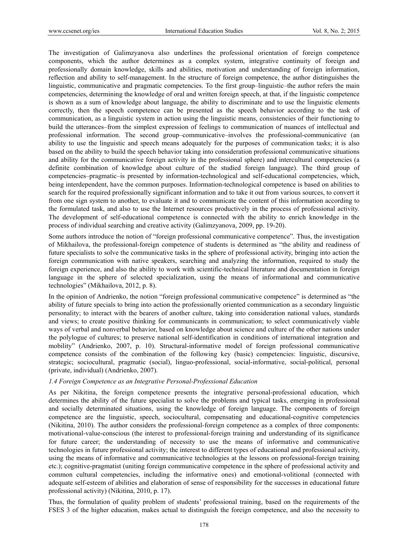The investigation of Galimzyanova also underlines the professional orientation of foreign competence components, which the author determines as a complex system, integrative continuity of foreign and professionally domain knowledge, skills and abilities, motivation and understanding of foreign information, reflection and ability to self-management. In the structure of foreign competence, the author distinguishes the linguistic, communicative and pragmatic competencies. To the first group–linguistic–the author refers the main competencies, determining the knowledge of oral and written foreign speech, at that, if the linguistic competence is shown as a sum of knowledge about language, the ability to discriminate and to use the linguistic elements correctly, then the speech competence can be presented as the speech behavior according to the task of communication, as a linguistic system in action using the linguistic means, consistencies of their functioning to build the utterances–from the simplest expression of feelings to communication of nuances of intellectual and professional information. The second group–communicative–involves the professional-communicative (an ability to use the linguistic and speech means adequately for the purposes of communication tasks; it is also based on the ability to build the speech behavior taking into consideration professional communicative situations and ability for the communicative foreign activity in the professional sphere) and intercultural competencies (a definite combination of knowledge about culture of the studied foreign language). The third group of competencies–pragmatic–is presented by information-technological and self-educational competencies, which, being interdependent, have the common purposes. Information-technological competence is based on abilities to search for the required professionally significant information and to take it out from various sources, to convert it from one sign system to another, to evaluate it and to communicate the content of this information according to the formulated task, and also to use the Internet resources productively in the process of professional activity. The development of self-educational competence is connected with the ability to enrich knowledge in the process of individual searching and creative activity (Galimzyanova, 2009, pp. 19-20).

Some authors introduce the notion of "foreign professional communicative competence". Thus, the investigation of Mikhailova, the professional-foreign competence of students is determined as "the ability and readiness of future specialists to solve the communicative tasks in the sphere of professional activity, bringing into action the foreign communication with native speakers, searching and analyzing the information, required to study the foreign experience, and also the ability to work with scientific-technical literature and documentation in foreign language in the sphere of selected specialization, using the means of informational and communicative technologies" (Mikhailova, 2012, p. 8).

In the opinion of Andrienko, the notion "foreign professional communicative competence" is determined as "the ability of future specials to bring into action the professionally oriented communication as a secondary linguistic personality; to interact with the bearers of another culture, taking into consideration national values, standards and views; to create positive thinking for communicants in communication; to select communicatively viable ways of verbal and nonverbal behavior, based on knowledge about science and culture of the other nations under the polylogue of cultures; to preserve national self-identification in conditions of international integration and mobility" (Andrienko, 2007, p. 10). Structural-informative model of foreign professional communicative competence consists of the combination of the following key (basic) competencies: linguistic, discursive, strategic; sociocultural, pragmatic (social), linguo-professional, social-informative, social-political, personal (private, individual) (Andrienko, 2007).

#### *1.4 Foreign Competence as an Integrative Personal-Professional Education*

As per Nikitina, the foreign competence presents the integrative personal-professional education, which determines the ability of the future specialist to solve the problems and typical tasks, emerging in professional and socially determinated situations, using the knowledge of foreign language. The components of foreign competence are the linguistic, speech, sociocultural, compensating and educational-cognitive competencies (Nikitina, 2010). The author considers the professional-foreign competence as a complex of three components: motivational-value-conscious (the interest to professional-foreign training and understanding of its significance for future career; the understanding of necessity to use the means of informative and communicative technologies in future professional activity; the interest to different types of educational and professional activity, using the means of informative and communicative technologies at the lessons on professional-foreign training etc.); cognitive-pragmatist (uniting foreign communicative competence in the sphere of professional activity and common cultural competencies, including the informative ones) and emotional-volitional (connected with adequate self-esteem of abilities and elaboration of sense of responsibility for the successes in educational future professional activity) (Nikitina, 2010, p. 17).

Thus, the formulation of quality problem of students' professional training, based on the requirements of the FSES 3 of the higher education, makes actual to distinguish the foreign competence, and also the necessity to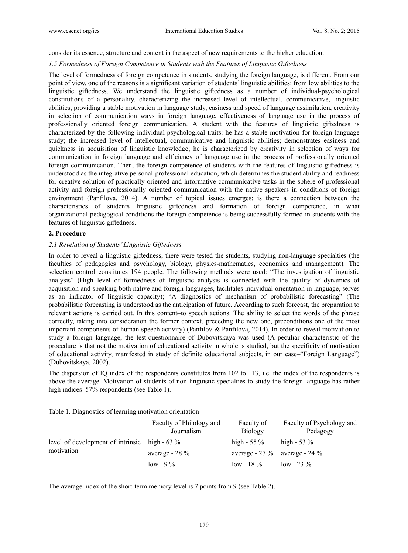consider its essence, structure and content in the aspect of new requirements to the higher education.

## *1.5 Formedness of Foreign Competence in Students with the Features of Linguistic Giftedness*

The level of formedness of foreign competence in students, studying the foreign language, is different. From our point of view, one of the reasons is a significant variation of students' linguistic abilities: from low abilities to the linguistic giftedness. We understand the linguistic giftedness as a number of individual-psychological constitutions of a personality, characterizing the increased level of intellectual, communicative, linguistic abilities, providing a stable motivation in language study, easiness and speed of language assimilation, creativity in selection of communication ways in foreign language, effectiveness of language use in the process of professionally oriented foreign communication. A student with the features of linguistic giftedness is characterized by the following individual-psychological traits: he has a stable motivation for foreign language study; the increased level of intellectual, communicative and linguistic abilities; demonstrates easiness and quickness in acquisition of linguistic knowledge; he is characterized by creativity in selection of ways for communication in foreign language and efficiency of language use in the process of professionally oriented foreign communication. Then, the foreign competence of students with the features of linguistic giftedness is understood as the integrative personal-professional education, which determines the student ability and readiness for creative solution of practically oriented and informative-communicative tasks in the sphere of professional activity and foreign professionally oriented communication with the native speakers in conditions of foreign environment (Panfilova, 2014). A number of topical issues emerges: is there a connection between the characteristics of students linguistic giftedness and formation of foreign competence, in what organizational-pedagogical conditions the foreign competence is being successfully formed in students with the features of linguistic giftedness.

## **2. Procedure**

## *2.1 Revelation of Students' Linguistic Giftedness*

In order to reveal a linguistic giftedness, there were tested the students, studying non-language specialties (the faculties of pedagogies and psychology, biology, physics-mathematics, economics and management). The selection control constitutes 194 people. The following methods were used: "The investigation of linguistic analysis" (High level of formedness of linguistic analysis is connected with the quality of dynamics of acquisition and speaking both native and foreign languages, facilitates individual orientation in language, serves as an indicator of linguistic capacity); "A diagnostics of mechanism of probabilistic forecasting" (The probabilistic forecasting is understood as the anticipation of future. According to such forecast, the preparation to relevant actions is carried out. In this content–to speech actions. The ability to select the words of the phrase correctly, taking into consideration the former context, preceding the new one, preconditions one of the most important components of human speech activity) (Panfilov & Panfilova, 2014). In order to reveal motivation to study a foreign language, the test-questionnaire of Dubovitskaya was used (A peculiar characteristic of the procedure is that not the motivation of educational activity in whole is studied, but the specificity of motivation of educational activity, manifested in study of definite educational subjects, in our case–"Foreign Language") (Dubovitskaya, 2002).

The dispersion of IQ index of the respondents constitutes from 102 to 113, i.e. the index of the respondents is above the average. Motivation of students of non-linguistic specialties to study the foreign language has rather high indices–57% respondents (see Table 1).

|  | Table 1. Diagnostics of learning motivation orientation |  |
|--|---------------------------------------------------------|--|

|                                   | Faculty of Philology and<br>Journalism | Faculty of<br><b>Biology</b> | Faculty of Psychology and<br>Pedagogy |
|-----------------------------------|----------------------------------------|------------------------------|---------------------------------------|
| level of development of intrinsic | high $-63\%$                           | high $-55\%$                 | high $-53\%$                          |
| motivation                        | average $-28\%$                        | average $-27\%$              | average $-24\%$                       |
|                                   | $10w - 9\%$                            | $10w - 18\%$                 | $10w - 23\%$                          |

The average index of the short-term memory level is 7 points from 9 (see Table 2).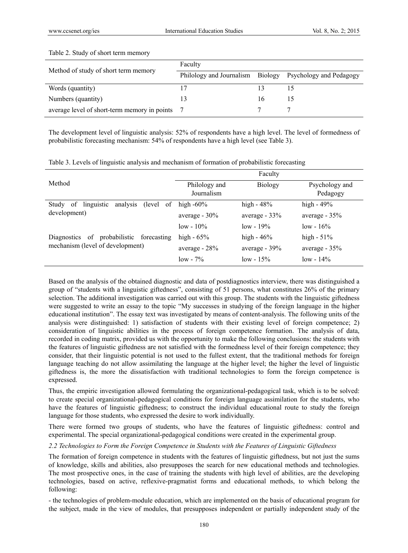## Table 2. Study of short term memory

| Method of study of short term memory           | Faculty |    |                                                          |  |  |
|------------------------------------------------|---------|----|----------------------------------------------------------|--|--|
|                                                |         |    | Philology and Journalism Biology Psychology and Pedagogy |  |  |
| Words (quantity)                               |         |    |                                                          |  |  |
| Numbers (quantity)                             |         | 16 |                                                          |  |  |
| average level of short-term memory in points 7 |         |    |                                                          |  |  |

The development level of linguistic analysis: 52% of respondents have a high level. The level of formedness of probabilistic forecasting mechanism: 54% of respondents have a high level (see Table 3).

| Table 3. Levels of linguistic analysis and mechanism of formation of probabilistic forecasting |  |  |  |
|------------------------------------------------------------------------------------------------|--|--|--|
|                                                                                                |  |  |  |

|                                                    | Faculty                     |                 |                            |  |  |
|----------------------------------------------------|-----------------------------|-----------------|----------------------------|--|--|
| Method                                             | Philology and<br>Journalism | Biology         | Psychology and<br>Pedagogy |  |  |
| linguistic<br>analysis<br>Study<br>(level of<br>of | high $-60\%$                | high - $48%$    | high - $49%$               |  |  |
| development)                                       | average $-30\%$             | average - 33%   | average - 35%              |  |  |
|                                                    | $10w - 10\%$                | $low - 19\%$    | $low - 16\%$               |  |  |
| Diagnostics of probabilistic forecasting           | high $-65\%$                | high $-46\%$    | high - $51\%$              |  |  |
| mechanism (level of development)                   | average $-28%$              | average $-39\%$ | average $-35%$             |  |  |
|                                                    | $low - 7\%$                 | $low - 15\%$    | $low - 14\%$               |  |  |

Based on the analysis of the obtained diagnostic and data of postdiagnostics interview, there was distinguished a group of "students with a linguistic giftedness", consisting of 51 persons, what constitutes 26% of the primary selection. The additional investigation was carried out with this group. The students with the linguistic giftedness were suggested to write an essay to the topic "My successes in studying of the foreign language in the higher educational institution". The essay text was investigated by means of content-analysis. The following units of the analysis were distinguished: 1) satisfaction of students with their existing level of foreign competence; 2) consideration of linguistic abilities in the process of foreign competence formation. The analysis of data, recorded in coding matrix, provided us with the opportunity to make the following conclusions: the students with the features of linguistic giftedness are not satisfied with the formedness level of their foreign competence; they consider, that their linguistic potential is not used to the fullest extent, that the traditional methods for foreign language teaching do not allow assimilating the language at the higher level; the higher the level of linguistic giftedness is, the more the dissatisfaction with traditional technologies to form the foreign competence is expressed.

Thus, the empiric investigation allowed formulating the organizational-pedagogical task, which is to be solved: to create special organizational-pedagogical conditions for foreign language assimilation for the students, who have the features of linguistic giftedness; to construct the individual educational route to study the foreign language for those students, who expressed the desire to work individually.

There were formed two groups of students, who have the features of linguistic giftedness: control and experimental. The special organizational-pedagogical conditions were created in the experimental group.

#### *2.2 Technologies to Form the Foreign Competence in Students with the Features of Linguistic Giftedness*

The formation of foreign competence in students with the features of linguistic giftedness, but not just the sums of knowledge, skills and abilities, also presupposes the search for new educational methods and technologies. The most prospective ones, in the case of training the students with high level of abilities, are the developing technologies, based on active, reflexive-pragmatist forms and educational methods, to which belong the following:

- the technologies of problem-module education, which are implemented on the basis of educational program for the subject, made in the view of modules, that presupposes independent or partially independent study of the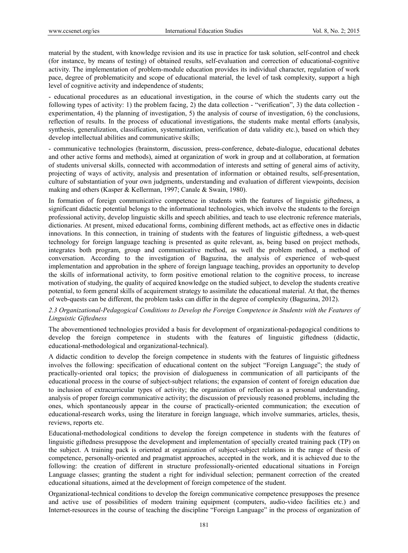material by the student, with knowledge revision and its use in practice for task solution, self-control and check (for instance, by means of testing) of obtained results, self-evaluation and correction of educational-cognitive activity. The implementation of problem-module education provides its individual character, regulation of work pace, degree of problematicity and scope of educational material, the level of task complexity, support a high level of cognitive activity and independence of students;

- educational procedures as an educational investigation, in the course of which the students carry out the following types of activity: 1) the problem facing, 2) the data collection - "verification", 3) the data collection experimentation, 4) the planning of investigation, 5) the analysis of course of investigation, 6) the conclusions, reflection of results. In the process of educational investigations, the students make mental efforts (analysis, synthesis, generalization, classification, systematization, verification of data validity etc.), based on which they develop intellectual abilities and communicative skills;

- communicative technologies (brainstorm, discussion, press-conference, debate-dialogue, educational debates and other active forms and methods), aimed at organization of work in group and at collaboration, at formation of students universal skills, connected with accommodation of interests and setting of general aims of activity, projecting of ways of activity, analysis and presentation of information or obtained results, self-presentation, culture of substantiation of your own judgments, understanding and evaluation of different viewpoints, decision making and others (Kasper & Kellerman, 1997; Canale & Swain, 1980).

In formation of foreign communicative competence in students with the features of linguistic giftedness, a significant didactic potential belongs to the informational technologies, which involve the students to the foreign professional activity, develop linguistic skills and speech abilities, and teach to use electronic reference materials, dictionaries. At present, mixed educational forms, combining different methods, act as effective ones in didactic innovations. In this connection, in training of students with the features of linguistic giftedness, a web-quest technology for foreign language teaching is presented as quite relevant, as, being based on project methods, integrates both program, group and communicative method, as well the problem method, a method of conversation. According to the investigation of Baguzina, the analysis of experience of web-quest implementation and approbation in the sphere of foreign language teaching, provides an opportunity to develop the skills of informational activity, to form positive emotional relation to the cognitive process, to increase motivation of studying, the quality of acquired knowledge on the studied subject, to develop the students creative potential, to form general skills of acquirement strategy to assimilate the educational material. At that, the themes of web-quests can be different, the problem tasks can differ in the degree of complexity (Baguzina, 2012).

## *2.3 Organizational-Pedagogical Conditions to Develop the Foreign Competence in Students with the Features of Linguistic Giftedness*

The abovementioned technologies provided a basis for development of organizational-pedagogical conditions to develop the foreign competence in students with the features of linguistic giftedness (didactic, educational-methodological and organizational-technical).

A didactic condition to develop the foreign competence in students with the features of linguistic giftedness involves the following: specification of educational content on the subject "Foreign Language"; the study of practically-oriented oral topics; the provision of dialogueness in communication of all participants of the educational process in the course of subject-subject relations; the expansion of content of foreign education due to inclusion of extracurricular types of activity; the organization of reflection as a personal understanding, analysis of proper foreign communicative activity; the discussion of previously reasoned problems, including the ones, which spontaneously appear in the course of practically-oriented communication; the execution of educational-research works, using the literature in foreign language, which involve summaries, articles, thesis, reviews, reports etc.

Educational-methodological conditions to develop the foreign competence in students with the features of linguistic giftedness presuppose the development and implementation of specially created training pack (TP) on the subject. A training pack is oriented at organization of subject-subject relations in the range of thesis of competence, personally-oriented and pragmatist approaches, accepted in the work, and it is achieved due to the following: the creation of different in structure professionally-oriented educational situations in Foreign Language classes; granting the student a right for individual selection; permanent correction of the created educational situations, aimed at the development of foreign competence of the student.

Organizational-technical conditions to develop the foreign communicative competence presupposes the presence and active use of possibilities of modern training equipment (computers, audio-video facilities etc.) and Internet-resources in the course of teaching the discipline "Foreign Language" in the process of organization of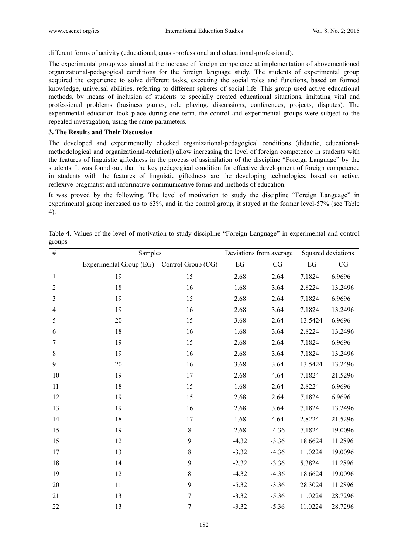different forms of activity (educational, quasi-professional and educational-professional).

The experimental group was aimed at the increase of foreign competence at implementation of abovementioned organizational-pedagogical conditions for the foreign language study. The students of experimental group acquired the experience to solve different tasks, executing the social roles and functions, based on formed knowledge, universal abilities, referring to different spheres of social life. This group used active educational methods, by means of inclusion of students to specially created educational situations, imitating vital and professional problems (business games, role playing, discussions, conferences, projects, disputes). The experimental education took place during one term, the control and experimental groups were subject to the repeated investigation, using the same parameters.

## **3. The Results and Their Discussion**

The developed and experimentally checked organizational-pedagogical conditions (didactic, educationalmethodological and organizational-technical) allow increasing the level of foreign competence in students with the features of linguistic giftedness in the process of assimilation of the discipline "Foreign Language" by the students. It was found out, that the key pedagogical condition for effective development of foreign competence in students with the features of linguistic giftedness are the developing technologies, based on active, reflexive-pragmatist and informative-communicative forms and methods of education.

It was proved by the following. The level of motivation to study the discipline "Foreign Language" in experimental group increased up to 63%, and in the control group, it stayed at the former level-57% (see Table 4).

| $\#$                     | Samples                                    |                | Deviations from average |           | Squared deviations |         |
|--------------------------|--------------------------------------------|----------------|-------------------------|-----------|--------------------|---------|
|                          | Experimental Group (EG) Control Group (CG) |                | EG                      | $\rm{CG}$ | EG                 | CG      |
| $\mathbf{1}$             | 19                                         | 15             | 2.68                    | 2.64      | 7.1824             | 6.9696  |
| $\overline{2}$           | 18                                         | 16             | 1.68                    | 3.64      | 2.8224             | 13.2496 |
| 3                        | 19                                         | 15             | 2.68                    | 2.64      | 7.1824             | 6.9696  |
| $\overline{\mathcal{L}}$ | 19                                         | 16             | 2.68                    | 3.64      | 7.1824             | 13.2496 |
| 5                        | 20                                         | 15             | 3.68                    | 2.64      | 13.5424            | 6.9696  |
| 6                        | 18                                         | 16             | 1.68                    | 3.64      | 2.8224             | 13.2496 |
| $\boldsymbol{7}$         | 19                                         | 15             | 2.68                    | 2.64      | 7.1824             | 6.9696  |
| $8\,$                    | 19                                         | 16             | 2.68                    | 3.64      | 7.1824             | 13.2496 |
| 9                        | 20                                         | 16             | 3.68                    | 3.64      | 13.5424            | 13.2496 |
| 10                       | 19                                         | 17             | 2.68                    | 4.64      | 7.1824             | 21.5296 |
| 11                       | 18                                         | 15             | 1.68                    | 2.64      | 2.8224             | 6.9696  |
| 12                       | 19                                         | 15             | 2.68                    | 2.64      | 7.1824             | 6.9696  |
| 13                       | 19                                         | 16             | 2.68                    | 3.64      | 7.1824             | 13.2496 |
| 14                       | 18                                         | 17             | 1.68                    | 4.64      | 2.8224             | 21.5296 |
| 15                       | 19                                         | $8\,$          | 2.68                    | $-4.36$   | 7.1824             | 19.0096 |
| 15                       | 12                                         | 9              | $-4.32$                 | $-3.36$   | 18.6624            | 11.2896 |
| 17                       | 13                                         | $8\,$          | $-3.32$                 | $-4.36$   | 11.0224            | 19.0096 |
| 18                       | 14                                         | 9              | $-2.32$                 | $-3.36$   | 5.3824             | 11.2896 |
| 19                       | 12                                         | $\,8\,$        | $-4.32$                 | $-4.36$   | 18.6624            | 19.0096 |
| 20                       | 11                                         | 9              | $-5.32$                 | $-3.36$   | 28.3024            | 11.2896 |
| 21                       | 13                                         | 7              | $-3.32$                 | $-5.36$   | 11.0224            | 28.7296 |
| 22                       | 13                                         | $\overline{7}$ | $-3.32$                 | $-5.36$   | 11.0224            | 28.7296 |

Table 4. Values of the level of motivation to study discipline "Foreign Language" in experimental and control groups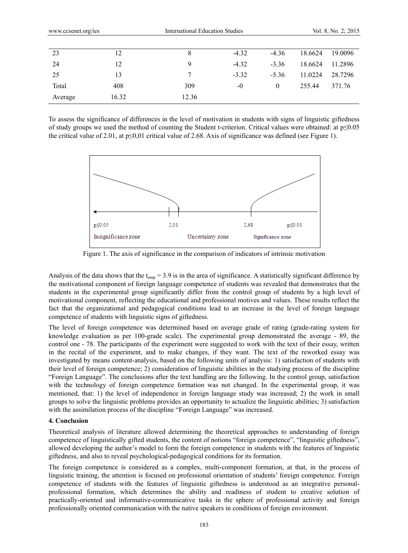| 23      | 12    | 8     | $-4.32$ | $-4.36$  | 18.6624 | 19.0096 |
|---------|-------|-------|---------|----------|---------|---------|
| 24      | 12    | q     | $-4.32$ | $-3.36$  | 18.6624 | 11.2896 |
| 25      | 13    | 7     | $-3.32$ | $-5.36$  | 11.0224 | 28.7296 |
| Total   | 408   | 309   | $-0$    | $\theta$ | 255.44  | 371.76  |
| Average | 16.32 | 12.36 |         |          |         |         |

To assess the significance of differences in the level of motivation in students with signs of linguistic giftedness of study groups we used the method of counting the Student t-criterion. Critical values were obtained: at p≤0.05 the critical value of 2.01, at p≤0,01 critical value of 2.68. Axis of significance was defined (see Figure 1).



Figure 1. The axis of significance in the comparison of indicators of intrinsic motivation

Analysis of the data shows that the  $t_{emp} = 3.9$  is in the area of significance. A statistically significant difference by the motivational component of foreign language competence of students was revealed that demonstrates that the students in the experimental group significantly differ from the control group of students by a high level of motivational component, reflecting the educational and professional motives and values. These results reflect the fact that the organizational and pedagogical conditions lead to an increase in the level of foreign language competence of students with linguistic signs of giftedness.

The level of foreign competence was determined based on average grade of rating (grade-rating system for knowledge evaluation as per 100-grade scale). The experimental group demonstrated the average - 89, the control one - 78. The participants of the experiment were suggested to work with the text of their essay, written in the recital of the experiment, and to make changes, if they want. The text of the reworked essay was investigated by means content-analysis, based on the following units of analysis: 1) satisfaction of students with their level of foreign competence; 2) consideration of linguistic abilities in the studying process of the discipline "Foreign Language". The conclusions after the text handling are the following. In the control group, satisfaction with the technology of foreign competence formation was not changed. In the experimental group, it was mentioned, that: 1) the level of independence in foreign language study was increased; 2) the work in small groups to solve the linguistic problems provides an opportunity to actualize the linguistic abilities; 3) satisfaction with the assimilation process of the discipline "Foreign Language" was increased.

## **4. Conclusion**

Theoretical analysis of literature allowed determining the theoretical approaches to understanding of foreign competence of linguistically gifted students, the content of notions "foreign competence", "linguistic giftedness", allowed developing the author's model to form the foreign competence in students with the features of linguistic giftedness, and also to reveal psychological-pedagogical conditions for its formation.

The foreign competence is considered as a complex, multi-component formation, at that, in the process of linguistic training, the attention is focused on professional orientation of students' foreign competence. Foreign competence of students with the features of linguistic giftedness is understood as an integrative personalprofessional formation, which determines the ability and readiness of student to creative solution of practically-oriented and informative-communicative tasks in the sphere of professional activity and foreign professionally oriented communication with the native speakers in conditions of foreign environment.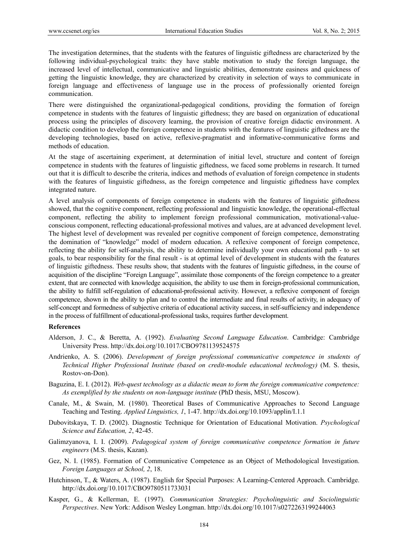The investigation determines, that the students with the features of linguistic giftedness are characterized by the following individual-psychological traits: they have stable motivation to study the foreign language, the increased level of intellectual, communicative and linguistic abilities, demonstrate easiness and quickness of getting the linguistic knowledge, they are characterized by creativity in selection of ways to communicate in foreign language and effectiveness of language use in the process of professionally oriented foreign communication.

There were distinguished the organizational-pedagogical conditions, providing the formation of foreign competence in students with the features of linguistic giftedness; they are based on organization of educational process using the principles of discovery learning, the provision of creative foreign didactic environment. A didactic condition to develop the foreign competence in students with the features of linguistic giftedness are the developing technologies, based on active, reflexive-pragmatist and informative-communicative forms and methods of education.

At the stage of ascertaining experiment, at determination of initial level, structure and content of foreign competence in students with the features of linguistic giftedness, we faced some problems in research. It turned out that it is difficult to describe the criteria, indices and methods of evaluation of foreign competence in students with the features of linguistic giftedness, as the foreign competence and linguistic giftedness have complex integrated nature.

A level analysis of components of foreign competence in students with the features of linguistic giftedness showed, that the cognitive component, reflecting professional and linguistic knowledge, the operational-effectual component, reflecting the ability to implement foreign professional communication, motivational-valueconscious component, reflecting educational-professional motives and values, are at advanced development level. The highest level of development was revealed per cognitive component of foreign competence, demonstrating the domination of "knowledge" model of modern education. A reflexive component of foreign competence, reflecting the ability for self-analysis, the ability to determine individually your own educational path - to set goals, to bear responsibility for the final result - is at optimal level of development in students with the features of linguistic giftedness. These results show, that students with the features of linguistic giftedness, in the course of acquisition of the discipline "Foreign Language", assimilate those components of the foreign competence to a greater extent, that are connected with knowledge acquisition, the ability to use them in foreign-professional communication, the ability to fulfill self-regulation of educational-professional activity. However, a reflexive component of foreign competence, shown in the ability to plan and to control the intermediate and final results of activity, in adequacy of self-concept and formedness of subjective criteria of educational activity success, in self-sufficiency and independence in the process of fulfillment of educational-professional tasks, requires further development.

#### **References**

- Alderson, J. C., & Beretta, A. (1992). *Evaluating Second Language Education*. Cambridge: Cambridge University Press. http://dx.doi.org/10.1017/CBO9781139524575
- Andrienko, A. S. (2006). *Development of foreign professional communicative competence in students of Technical Higher Professional Institute (based on credit-module educational technology)* (M. S. thesis, Rostov-on-Don).
- Baguzina, E. I. (2012). *Web-quest technology as a didactic mean to form the foreign communicative competence: As exemplified by the students on non-language institute* (PhD thesis, MSU, Moscow).
- Canale, M., & Swain, M. (1980). Theoretical Bases of Communicative Approaches to Second Language Teaching and Testing. *Applied Linguistics, 1*, 1-47. http://dx.doi.org/10.1093/applin/I.1.1
- Dubovitskaya, T. D. (2002). Diagnostic Technique for Orientation of Educational Motivation. *Psychological Science and Education, 2*, 42-45.
- Galimzyanova, I. I. (2009). *Pedagogical system of foreign communicative competence formation in future engineers* (M.S. thesis, Kazan).
- Gez, N. I. (1985). Formation of Communicative Competence as an Object of Methodological Investigation. *Foreign Languages at School, 2*, 18.
- Hutchinson, T., & Waters, A. (1987). English for Special Purposes: A Learning-Centered Approach. Cambridge. http://dx.doi.org/10.1017/CBO9780511733031
- Kasper, G., & Kellerman, E. (1997). *Communication Strategies: Psycholinguistic and Sociolinguistic Perspectives*. New York: Addison Wesley Longman. http://dx.doi.org/10.1017/s0272263199244063